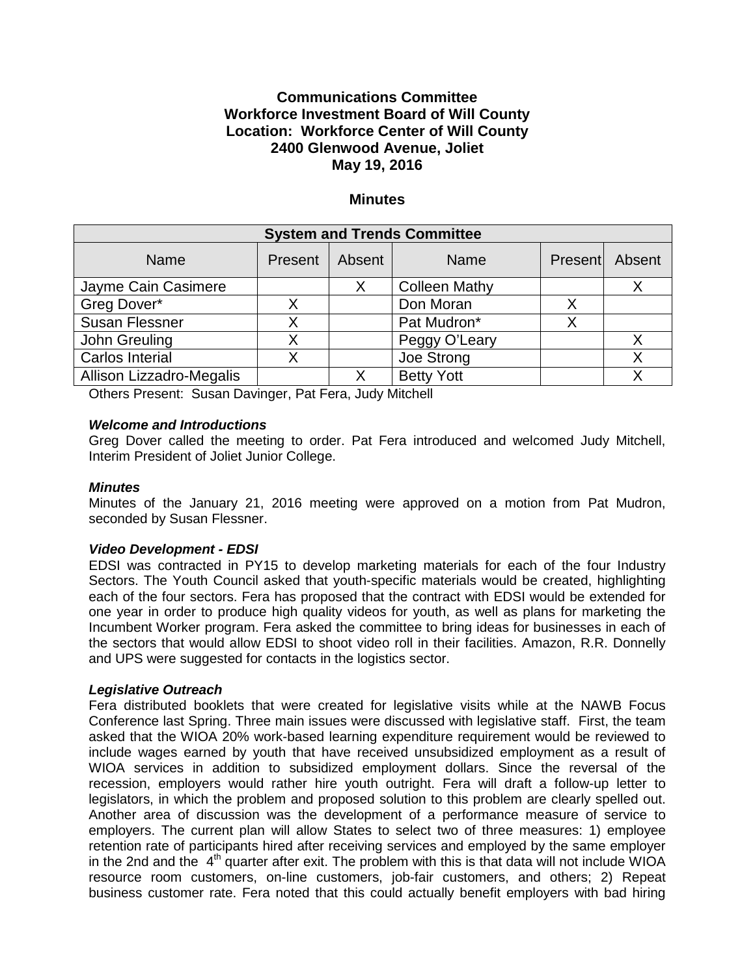# **Communications Committee Workforce Investment Board of Will County Location: Workforce Center of Will County 2400 Glenwood Avenue, Joliet May 19, 2016**

## **Minutes**

| <b>System and Trends Committee</b> |         |        |                      |                |  |
|------------------------------------|---------|--------|----------------------|----------------|--|
| <b>Name</b>                        | Present | Absent | <b>Name</b>          | Present Absent |  |
| Jayme Cain Casimere                |         |        | <b>Colleen Mathy</b> |                |  |
| Greg Dover*                        |         |        | Don Moran            |                |  |
| <b>Susan Flessner</b>              |         |        | Pat Mudron*          |                |  |
| John Greuling                      |         |        | Peggy O'Leary        |                |  |
| Carlos Interial                    |         |        | Joe Strong           |                |  |
| Allison Lizzadro-Megalis           |         |        | <b>Betty Yott</b>    |                |  |

Others Present: Susan Davinger, Pat Fera, Judy Mitchell

#### *Welcome and Introductions*

Greg Dover called the meeting to order. Pat Fera introduced and welcomed Judy Mitchell, Interim President of Joliet Junior College.

## *Minutes*

Minutes of the January 21, 2016 meeting were approved on a motion from Pat Mudron, seconded by Susan Flessner.

#### *Video Development - EDSI*

EDSI was contracted in PY15 to develop marketing materials for each of the four Industry Sectors. The Youth Council asked that youth-specific materials would be created, highlighting each of the four sectors. Fera has proposed that the contract with EDSI would be extended for one year in order to produce high quality videos for youth, as well as plans for marketing the Incumbent Worker program. Fera asked the committee to bring ideas for businesses in each of the sectors that would allow EDSI to shoot video roll in their facilities. Amazon, R.R. Donnelly and UPS were suggested for contacts in the logistics sector.

#### *Legislative Outreach*

Fera distributed booklets that were created for legislative visits while at the NAWB Focus Conference last Spring. Three main issues were discussed with legislative staff. First, the team asked that the WIOA 20% work-based learning expenditure requirement would be reviewed to include wages earned by youth that have received unsubsidized employment as a result of WIOA services in addition to subsidized employment dollars. Since the reversal of the recession, employers would rather hire youth outright. Fera will draft a follow-up letter to legislators, in which the problem and proposed solution to this problem are clearly spelled out. Another area of discussion was the development of a performance measure of service to employers. The current plan will allow States to select two of three measures: 1) employee retention rate of participants hired after receiving services and employed by the same employer in the 2nd and the  $4<sup>th</sup>$  quarter after exit. The problem with this is that data will not include WIOA resource room customers, on-line customers, job-fair customers, and others; 2) Repeat business customer rate. Fera noted that this could actually benefit employers with bad hiring